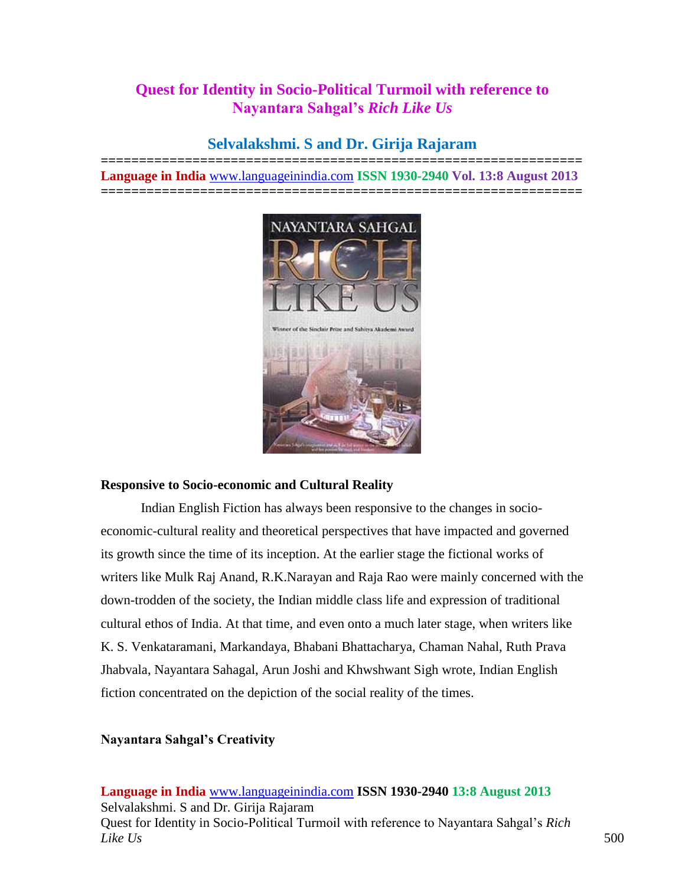# **Quest for Identity in Socio-Political Turmoil with reference to Nayantara Sahgal's** *Rich Like Us*

# **Selvalakshmi. S and Dr. Girija Rajaram**

**=============================================================== Language in India** [www.languageinindia.com](http://www.languageinindia.com/) **ISSN 1930-2940 Vol. 13:8 August 2013 ===============================================================**



## **Responsive to Socio-economic and Cultural Reality**

Indian English Fiction has always been responsive to the changes in socioeconomic-cultural reality and theoretical perspectives that have impacted and governed its growth since the time of its inception. At the earlier stage the fictional works of writers like Mulk Raj Anand, R.K.Narayan and Raja Rao were mainly concerned with the down-trodden of the society, the Indian middle class life and expression of traditional cultural ethos of India. At that time, and even onto a much later stage, when writers like K. S. Venkataramani, Markandaya, Bhabani Bhattacharya, Chaman Nahal, Ruth Prava Jhabvala, Nayantara Sahagal, Arun Joshi and Khwshwant Sigh wrote, Indian English fiction concentrated on the depiction of the social reality of the times.

# **Nayantara Sahgal's Creativity**

**Language in India** [www.languageinindia.com](http://www.languageinindia.com/) **ISSN 1930-2940 13:8 August 2013** Selvalakshmi. S and Dr. Girija Rajaram Quest for Identity in Socio-Political Turmoil with reference to Nayantara Sahgal's *Rich Like Us* 500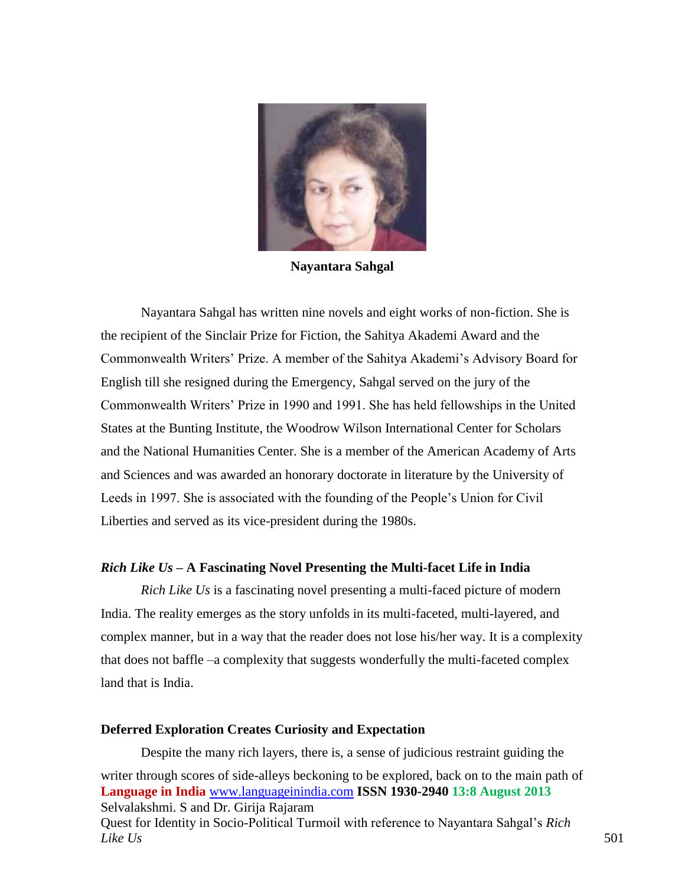

**Nayantara Sahgal**

Nayantara Sahgal has written nine novels and eight works of non-fiction. She is the recipient of the Sinclair Prize for Fiction, the Sahitya Akademi Award and the Commonwealth Writers' Prize. A member of the Sahitya Akademi's Advisory Board for English till she resigned during the Emergency, Sahgal served on the jury of the Commonwealth Writers' Prize in 1990 and 1991. She has held fellowships in the United States at the Bunting Institute, the Woodrow Wilson International Center for Scholars and the National Humanities Center. She is a member of the American Academy of Arts and Sciences and was awarded an honorary doctorate in literature by the University of Leeds in 1997. She is associated with the founding of the People's Union for Civil Liberties and served as its vice-president during the 1980s.

### *Rich Like Us* **– A Fascinating Novel Presenting the Multi-facet Life in India**

*Rich Like Us* is a fascinating novel presenting a multi-faced picture of modern India. The reality emerges as the story unfolds in its multi-faceted, multi-layered, and complex manner, but in a way that the reader does not lose his/her way. It is a complexity that does not baffle –a complexity that suggests wonderfully the multi-faceted complex land that is India.

#### **Deferred Exploration Creates Curiosity and Expectation**

**Language in India** [www.languageinindia.com](http://www.languageinindia.com/) **ISSN 1930-2940 13:8 August 2013** Selvalakshmi. S and Dr. Girija Rajaram Quest for Identity in Socio-Political Turmoil with reference to Nayantara Sahgal's *Rich Like Us* 501 Despite the many rich layers, there is, a sense of judicious restraint guiding the writer through scores of side-alleys beckoning to be explored, back on to the main path of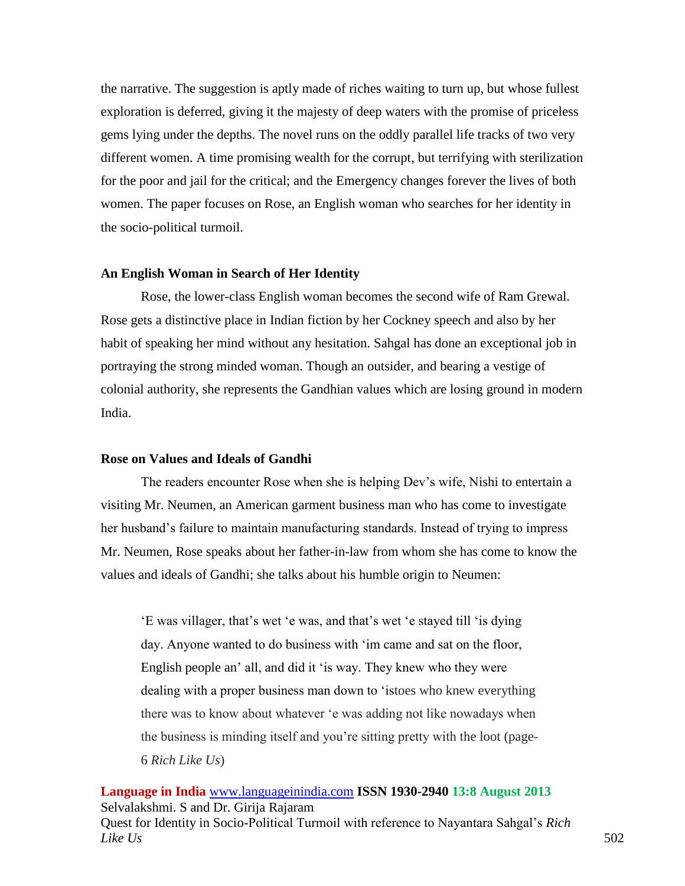the narrative. The suggestion is aptly made of riches waiting to turn up, but whose fullest exploration is deferred, giving it the majesty of deep waters with the promise of priceless gems lying under the depths. The novel runs on the oddly parallel life tracks of two very different women. A time promising wealth for the corrupt, but terrifying with sterilization for the poor and jail for the critical; and the Emergency changes forever the lives of both women. The paper focuses on Rose, an English woman who searches for her identity in the socio-political turmoil.

### **An English Woman in Search of Her Identity**

Rose, the lower-class English woman becomes the second wife of Ram Grewal. Rose gets a distinctive place in Indian fiction by her Cockney speech and also by her habit of speaking her mind without any hesitation. Sahgal has done an exceptional job in portraying the strong minded woman. Though an outsider, and bearing a vestige of colonial authority, she represents the Gandhian values which are losing ground in modern India.

### **Rose on Values and Ideals of Gandhi**

The readers encounter Rose when she is helping Dev's wife, Nishi to entertain a visiting Mr. Neumen, an American garment business man who has come to investigate her husband's failure to maintain manufacturing standards. Instead of trying to impress Mr. Neumen, Rose speaks about her father-in-law from whom she has come to know the values and ideals of Gandhi; she talks about his humble origin to Neumen:

'E was villager, that's wet 'e was, and that's wet 'e stayed till 'is dying day. Anyone wanted to do business with 'im came and sat on the floor, English people an' all, and did it 'is way. They knew who they were dealing with a proper business man down to 'istoes who knew everything there was to know about whatever 'e was adding not like nowadays when the business is minding itself and you're sitting pretty with the loot (page-6 *Rich Like Us*)

**Language in India** [www.languageinindia.com](http://www.languageinindia.com/) **ISSN 1930-2940 13:8 August 2013** Selvalakshmi. S and Dr. Girija Rajaram Quest for Identity in Socio-Political Turmoil with reference to Nayantara Sahgal's *Rich Like Us* 502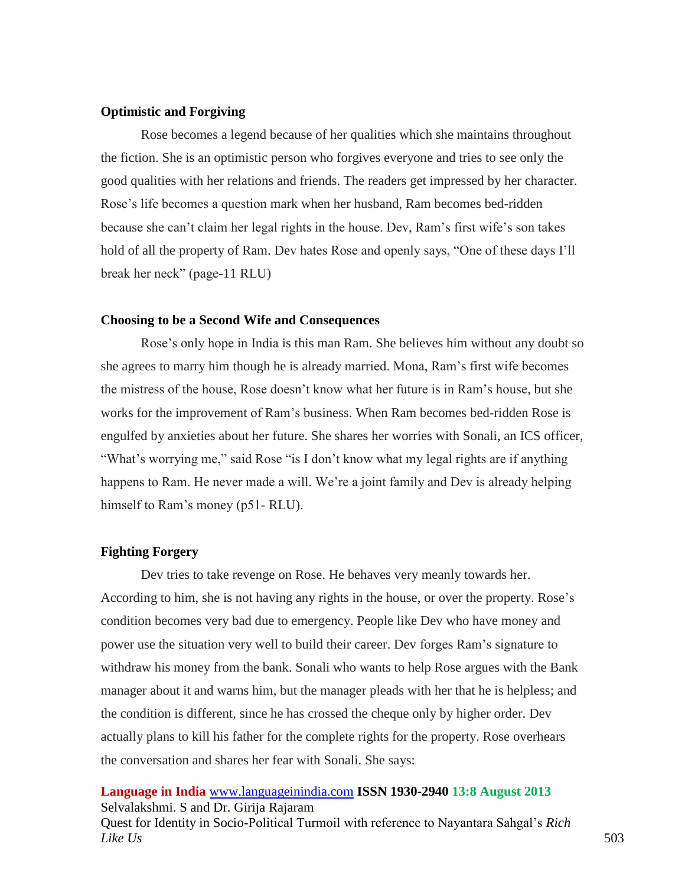### **Optimistic and Forgiving**

Rose becomes a legend because of her qualities which she maintains throughout the fiction. She is an optimistic person who forgives everyone and tries to see only the good qualities with her relations and friends. The readers get impressed by her character. Rose's life becomes a question mark when her husband, Ram becomes bed-ridden because she can't claim her legal rights in the house. Dev, Ram's first wife's son takes hold of all the property of Ram. Dev hates Rose and openly says, "One of these days I'll break her neck" (page-11 RLU)

### **Choosing to be a Second Wife and Consequences**

Rose's only hope in India is this man Ram. She believes him without any doubt so she agrees to marry him though he is already married. Mona, Ram's first wife becomes the mistress of the house, Rose doesn't know what her future is in Ram's house, but she works for the improvement of Ram's business. When Ram becomes bed-ridden Rose is engulfed by anxieties about her future. She shares her worries with Sonali, an ICS officer, "What's worrying me," said Rose "is I don't know what my legal rights are if anything happens to Ram. He never made a will. We're a joint family and Dev is already helping himself to Ram's money (p51- RLU).

### **Fighting Forgery**

Dev tries to take revenge on Rose. He behaves very meanly towards her. According to him, she is not having any rights in the house, or over the property. Rose's condition becomes very bad due to emergency. People like Dev who have money and power use the situation very well to build their career. Dev forges Ram's signature to withdraw his money from the bank. Sonali who wants to help Rose argues with the Bank manager about it and warns him, but the manager pleads with her that he is helpless; and the condition is different, since he has crossed the cheque only by higher order. Dev actually plans to kill his father for the complete rights for the property. Rose overhears the conversation and shares her fear with Sonali. She says:

**Language in India** [www.languageinindia.com](http://www.languageinindia.com/) **ISSN 1930-2940 13:8 August 2013** Selvalakshmi. S and Dr. Girija Rajaram Quest for Identity in Socio-Political Turmoil with reference to Nayantara Sahgal's *Rich Like Us* 503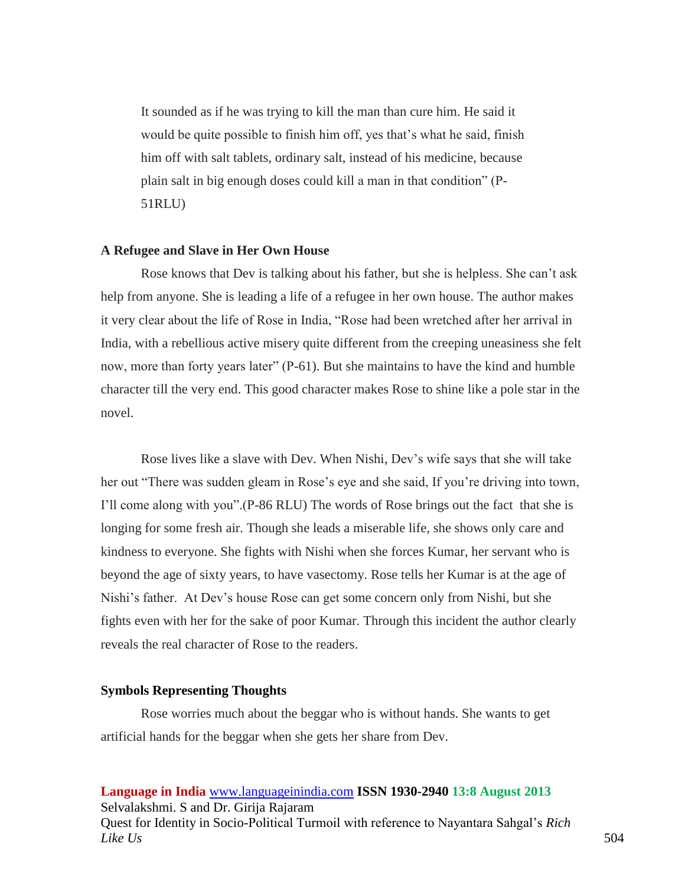It sounded as if he was trying to kill the man than cure him. He said it would be quite possible to finish him off, yes that's what he said, finish him off with salt tablets, ordinary salt, instead of his medicine, because plain salt in big enough doses could kill a man in that condition" (P-51RLU)

#### **A Refugee and Slave in Her Own House**

Rose knows that Dev is talking about his father, but she is helpless. She can't ask help from anyone. She is leading a life of a refugee in her own house. The author makes it very clear about the life of Rose in India, "Rose had been wretched after her arrival in India, with a rebellious active misery quite different from the creeping uneasiness she felt now, more than forty years later" (P-61). But she maintains to have the kind and humble character till the very end. This good character makes Rose to shine like a pole star in the novel.

Rose lives like a slave with Dev. When Nishi, Dev's wife says that she will take her out "There was sudden gleam in Rose's eye and she said, If you're driving into town, I'll come along with you".(P-86 RLU) The words of Rose brings out the fact that she is longing for some fresh air. Though she leads a miserable life, she shows only care and kindness to everyone. She fights with Nishi when she forces Kumar, her servant who is beyond the age of sixty years, to have vasectomy. Rose tells her Kumar is at the age of Nishi's father. At Dev's house Rose can get some concern only from Nishi, but she fights even with her for the sake of poor Kumar. Through this incident the author clearly reveals the real character of Rose to the readers.

#### **Symbols Representing Thoughts**

Rose worries much about the beggar who is without hands. She wants to get artificial hands for the beggar when she gets her share from Dev.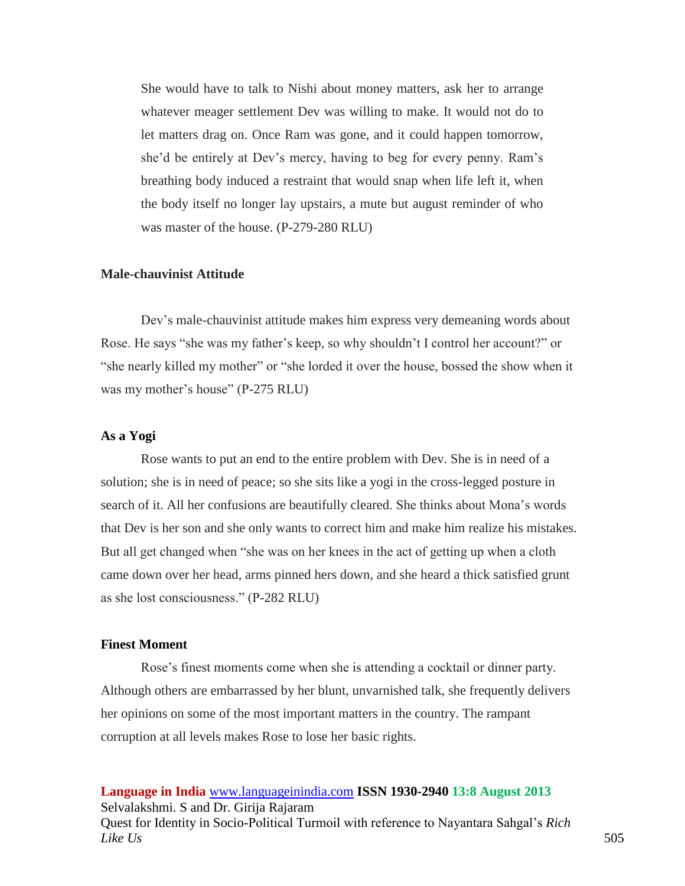She would have to talk to Nishi about money matters, ask her to arrange whatever meager settlement Dev was willing to make. It would not do to let matters drag on. Once Ram was gone, and it could happen tomorrow, she'd be entirely at Dev's mercy, having to beg for every penny. Ram's breathing body induced a restraint that would snap when life left it, when the body itself no longer lay upstairs, a mute but august reminder of who was master of the house. (P-279-280 RLU)

### **Male-chauvinist Attitude**

Dev's male-chauvinist attitude makes him express very demeaning words about Rose. He says "she was my father's keep, so why shouldn't I control her account?" or "she nearly killed my mother" or "she lorded it over the house, bossed the show when it was my mother's house" (P-275 RLU)

### **As a Yogi**

Rose wants to put an end to the entire problem with Dev. She is in need of a solution; she is in need of peace; so she sits like a yogi in the cross-legged posture in search of it. All her confusions are beautifully cleared. She thinks about Mona's words that Dev is her son and she only wants to correct him and make him realize his mistakes. But all get changed when "she was on her knees in the act of getting up when a cloth came down over her head, arms pinned hers down, and she heard a thick satisfied grunt as she lost consciousness." (P-282 RLU)

### **Finest Moment**

Rose's finest moments come when she is attending a cocktail or dinner party. Although others are embarrassed by her blunt, unvarnished talk, she frequently delivers her opinions on some of the most important matters in the country. The rampant corruption at all levels makes Rose to lose her basic rights.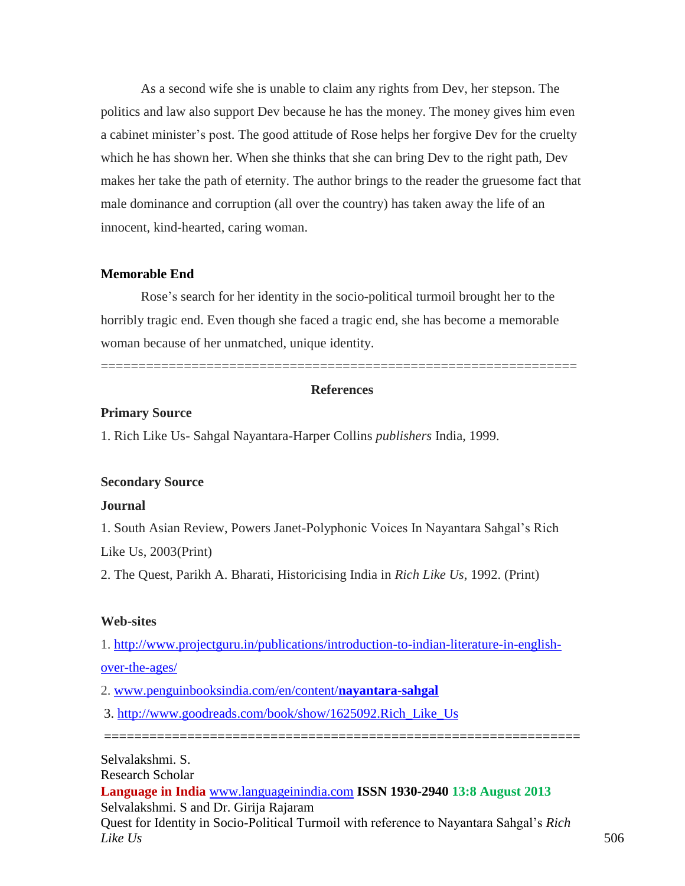As a second wife she is unable to claim any rights from Dev, her stepson. The politics and law also support Dev because he has the money. The money gives him even a cabinet minister's post. The good attitude of Rose helps her forgive Dev for the cruelty which he has shown her. When she thinks that she can bring Dev to the right path, Dev makes her take the path of eternity. The author brings to the reader the gruesome fact that male dominance and corruption (all over the country) has taken away the life of an innocent, kind-hearted, caring woman.

### **Memorable End**

Rose's search for her identity in the socio-political turmoil brought her to the horribly tragic end. Even though she faced a tragic end, she has become a memorable woman because of her unmatched, unique identity.

### **References**

===============================================================

### **Primary Source**

1. Rich Like Us- Sahgal Nayantara-Harper Collins *publishers* India, 1999.

#### **Secondary Source**

### **Journal**

1. South Asian Review, Powers Janet-Polyphonic Voices In Nayantara Sahgal's Rich Like Us, 2003(Print)

2. The Quest, Parikh A. Bharati, Historicising India in *Rich Like Us*, 1992. (Print)

### **Web-sites**

1. [http://www.projectguru.in/publications/introduction-to-indian-literature-in-english-](http://www.projectguru.in/publications/introduction-to-indian-literature-in-english-over-the-ages/)

[over-the-ages/](http://www.projectguru.in/publications/introduction-to-indian-literature-in-english-over-the-ages/)

2. [www.penguinbooksindia.com/en/content/](http://www.penguinbooksindia.com/en/content/nayantara-sahgal)**nayantara**-**sahgal**

3. [http://www.goodreads.com/book/show/1625092.Rich\\_Like\\_Us](http://www.goodreads.com/book/show/1625092.Rich_Like_Us)

**Language in India** [www.languageinindia.com](http://www.languageinindia.com/) **ISSN 1930-2940 13:8 August 2013** Selvalakshmi. S and Dr. Girija Rajaram Selvalakshmi. S. Research Scholar

===============================================================

Quest for Identity in Socio-Political Turmoil with reference to Nayantara Sahgal's *Rich Like Us* 506